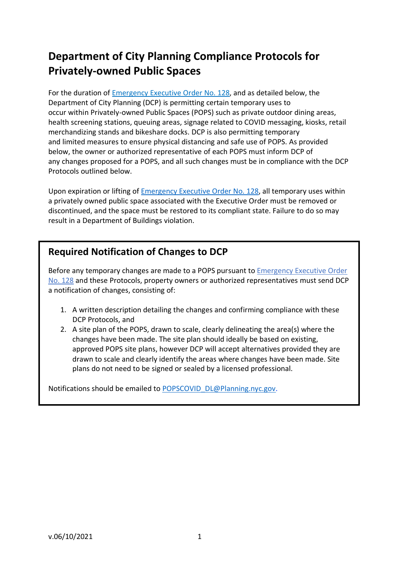# **Department of City Planning Compliance Protocols for Privately-owned Public Spaces**

For the duration of Emergency [Executive Order No.](https://www1.nyc.gov/assets/home/downloads/pdf/executive-orders/2020/eeo-128.pdf) 128, and as detailed below, the Department of City Planning (DCP) is permitting certain temporary uses to occur within Privately-owned Public Spaces (POPS) such as private outdoor dining areas, health screening stations, queuing areas, signage related to COVID messaging, kiosks, retail merchandizing stands and bikeshare docks. DCP is also permitting temporary and limited measures to ensure physical distancing and safe use of POPS. As provided below, the owner or authorized representative of each POPS must inform DCP of any changes proposed for a POPS, and all such changes must be in compliance with the DCP Protocols outlined below.

Upon expiration or lifting of [Emergency Executive Order No.](https://www1.nyc.gov/assets/home/downloads/pdf/executive-orders/2020/eeo-128.pdf) 128, all temporary uses within a privately owned public space associated with the Executive Order must be removed or discontinued, and the space must be restored to its compliant state. Failure to do so may result in a Department of Buildings violation.

### **Required Notification of Changes to DCP**

Before any temporary changes are made to a POPS pursuant to Emergency [Executive Order](https://www1.nyc.gov/assets/home/downloads/pdf/executive-orders/2020/eeo-128.pdf)  No. [128](https://www1.nyc.gov/assets/home/downloads/pdf/executive-orders/2020/eeo-128.pdf) and these Protocols, property owners or authorized representatives must send DCP a notification of changes, consisting of:

- 1. A written description detailing the changes and confirming compliance with these DCP Protocols, and
- 2. A site plan of the POPS, drawn to scale, clearly delineating the area(s) where the changes have been made. The site plan should ideally be based on existing, approved POPS site plans, however DCP will accept alternatives provided they are drawn to scale and clearly identify the areas where changes have been made. Site plans do not need to be signed or sealed by a licensed professional.

Notifications should be emailed to [POPSCOVID\\_DL@Planning.nyc.gov.](mailto:POPSCOVID_DL@Planning.nyc.gov)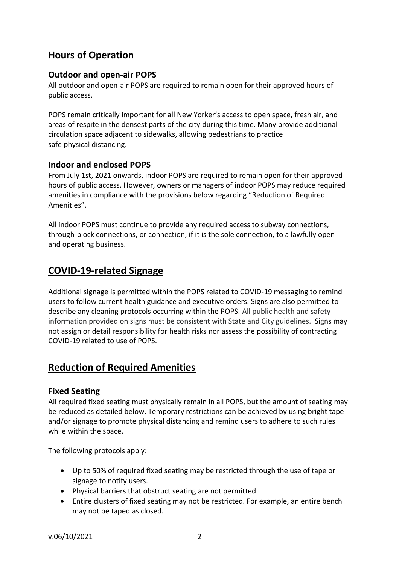## **Hours of Operation**

#### **Outdoor and open-air POPS**

All outdoor and open-air POPS are required to remain open for their approved hours of public access.

POPS remain critically important for all New Yorker's access to open space, fresh air, and areas of respite in the densest parts of the city during this time. Many provide additional circulation space adjacent to sidewalks, allowing pedestrians to practice safe physical distancing.

### **Indoor and enclosed POPS**

From July 1st, 2021 onwards, indoor POPS are required to remain open for their approved hours of public access. However, owners or managers of indoor POPS may reduce required amenities in compliance with the provisions below regarding "Reduction of Required Amenities".

All indoor POPS must continue to provide any required access to subway connections, through-block connections, or connection, if it is the sole connection, to a lawfully open and operating business.

## **COVID-19-related Signage**

Additional signage is permitted within the POPS related to COVID-19 messaging to remind users to follow current health guidance and executive orders. Signs are also permitted to describe any cleaning protocols occurring within the POPS. All public health and safety information provided on signs must be consistent with State and City guidelines. Signs may not assign or detail responsibility for health risks nor assess the possibility of contracting COVID-19 related to use of POPS.

### **Reduction of Required Amenities**

#### **Fixed Seating**

All required fixed seating must physically remain in all POPS, but the amount of seating may be reduced as detailed below. Temporary restrictions can be achieved by using bright tape and/or signage to promote physical distancing and remind users to adhere to such rules while within the space.

The following protocols apply:

- Up to 50% of required fixed seating may be restricted through the use of tape or signage to notify users.
- Physical barriers that obstruct seating are not permitted.
- Entire clusters of fixed seating may not be restricted. For example, an entire bench may not be taped as closed.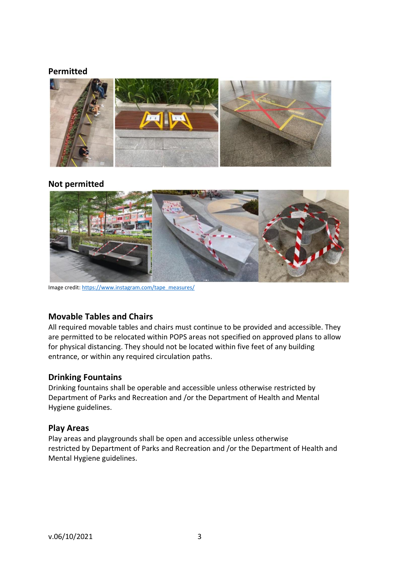#### **Permitted**



#### **Not permitted**



Image credit: [https://www.instagram.com/tape\\_measures/](https://www.instagram.com/tape_measures/)

#### **Movable Tables and Chairs**

All required movable tables and chairs must continue to be provided and accessible. They are permitted to be relocated within POPS areas not specified on approved plans to allow for physical distancing. They should not be located within five feet of any building entrance, or within any required circulation paths.

#### **Drinking Fountains**

Drinking fountains shall be operable and accessible unless otherwise restricted by Department of Parks and Recreation and /or the Department of Health and Mental Hygiene guidelines.

#### **Play Areas**

Play areas and playgrounds shall be open and accessible unless otherwise restricted by Department of Parks and Recreation and /or the Department of Health and Mental Hygiene guidelines.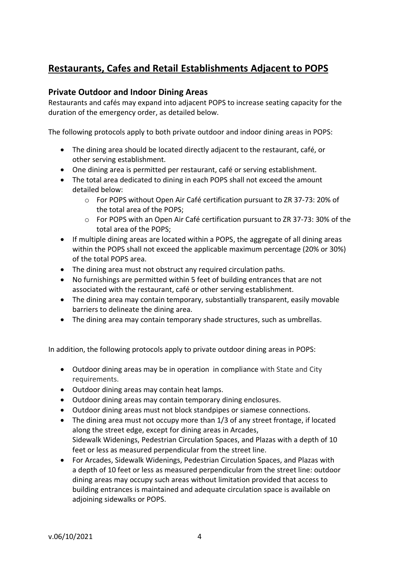## **Restaurants, Cafes and Retail Establishments Adjacent to POPS**

#### **Private Outdoor and Indoor Dining Areas**

Restaurants and cafés may expand into adjacent POPS to increase seating capacity for the duration of the emergency order, as detailed below.

The following protocols apply to both private outdoor and indoor dining areas in POPS:

- The dining area should be located directly adjacent to the restaurant, café, or other serving establishment.
- One dining area is permitted per restaurant, café or serving establishment.
- The total area dedicated to dining in each POPS shall not exceed the amount detailed below:
	- o For POPS without Open Air Café certification pursuant to ZR 37-73: 20% of the total area of the POPS;
	- o For POPS with an Open Air Café certification pursuant to ZR 37-73: 30% of the total area of the POPS;
- If multiple dining areas are located within a POPS, the aggregate of all dining areas within the POPS shall not exceed the applicable maximum percentage (20% or 30%) of the total POPS area.
- The dining area must not obstruct any required circulation paths.
- No furnishings are permitted within 5 feet of building entrances that are not associated with the restaurant, café or other serving establishment.
- The dining area may contain temporary, substantially transparent, easily movable barriers to delineate the dining area.
- The dining area may contain temporary shade structures, such as umbrellas.

In addition, the following protocols apply to private outdoor dining areas in POPS:

- Outdoor dining areas may be in operation in compliance with State and City requirements.
- Outdoor dining areas may contain heat lamps.
- Outdoor dining areas may contain temporary dining enclosures.
- Outdoor dining areas must not block standpipes or siamese connections.
- The dining area must not occupy more than 1/3 of any street frontage, if located along the street edge, except for dining areas in Arcades, Sidewalk Widenings, Pedestrian Circulation Spaces, and Plazas with a depth of 10 feet or less as measured perpendicular from the street line.
- For Arcades, Sidewalk Widenings, Pedestrian Circulation Spaces, and Plazas with a depth of 10 feet or less as measured perpendicular from the street line: outdoor dining areas may occupy such areas without limitation provided that access to building entrances is maintained and adequate circulation space is available on adjoining sidewalks or POPS.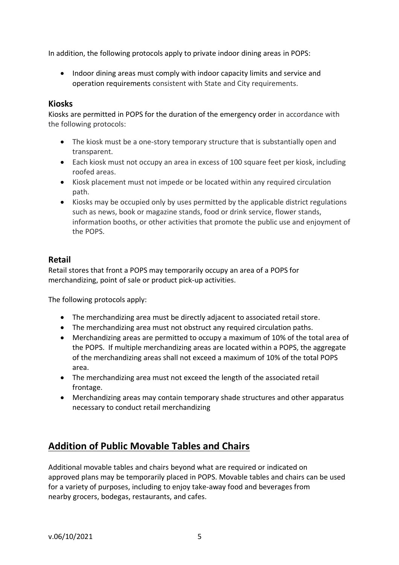In addition, the following protocols apply to private indoor dining areas in POPS:

• Indoor dining areas must comply with indoor capacity limits and service and operation requirements consistent with State and City requirements.

#### **Kiosks**

Kiosks are permitted in POPS for the duration of the emergency order in accordance with the following protocols:

- The kiosk must be a one-story temporary structure that is substantially open and transparent.
- Each kiosk must not occupy an area in excess of 100 square feet per kiosk, including roofed areas.
- Kiosk placement must not impede or be located within any required circulation path.
- Kiosks may be occupied only by uses permitted by the applicable district regulations such as news, book or magazine stands, food or drink service, flower stands, information booths, or other activities that promote the public use and enjoyment of the POPS.

#### **Retail**

Retail stores that front a POPS may temporarily occupy an area of a POPS for merchandizing, point of sale or product pick-up activities.

The following protocols apply:

- The merchandizing area must be directly adjacent to associated retail store.
- The merchandizing area must not obstruct any required circulation paths.
- Merchandizing areas are permitted to occupy a maximum of 10% of the total area of the POPS. If multiple merchandizing areas are located within a POPS, the aggregate of the merchandizing areas shall not exceed a maximum of 10% of the total POPS area.
- The merchandizing area must not exceed the length of the associated retail frontage.
- Merchandizing areas may contain temporary shade structures and other apparatus necessary to conduct retail merchandizing

## **Addition of Public Movable Tables and Chairs**

Additional movable tables and chairs beyond what are required or indicated on approved plans may be temporarily placed in POPS. Movable tables and chairs can be used for a variety of purposes, including to enjoy take-away food and beverages from nearby grocers, bodegas, restaurants, and cafes.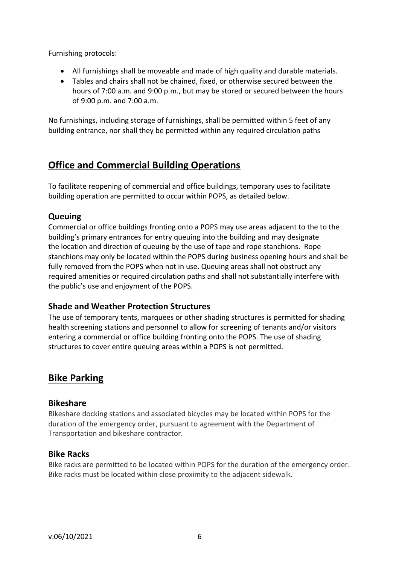Furnishing protocols:

- All furnishings shall be moveable and made of high quality and durable materials.
- Tables and chairs shall not be chained, fixed, or otherwise secured between the hours of 7:00 a.m. and 9:00 p.m., but may be stored or secured between the hours of 9:00 p.m. and 7:00 a.m.

No furnishings, including storage of furnishings, shall be permitted within 5 feet of any building entrance, nor shall they be permitted within any required circulation paths

## **Office and Commercial Building Operations**

To facilitate reopening of commercial and office buildings, temporary uses to facilitate building operation are permitted to occur within POPS, as detailed below.

### **Queuing**

Commercial or office buildings fronting onto a POPS may use areas adjacent to the to the building's primary entrances for entry queuing into the building and may designate the location and direction of queuing by the use of tape and rope stanchions. Rope stanchions may only be located within the POPS during business opening hours and shall be fully removed from the POPS when not in use. Queuing areas shall not obstruct any required amenities or required circulation paths and shall not substantially interfere with the public's use and enjoyment of the POPS.

### **Shade and Weather Protection Structures**

The use of temporary tents, marquees or other shading structures is permitted for shading health screening stations and personnel to allow for screening of tenants and/or visitors entering a commercial or office building fronting onto the POPS. The use of shading structures to cover entire queuing areas within a POPS is not permitted.

### **Bike Parking**

### **Bikeshare**

Bikeshare docking stations and associated bicycles may be located within POPS for the duration of the emergency order, pursuant to agreement with the Department of Transportation and bikeshare contractor.

### **Bike Racks**

Bike racks are permitted to be located within POPS for the duration of the emergency order. Bike racks must be located within close proximity to the adjacent sidewalk.